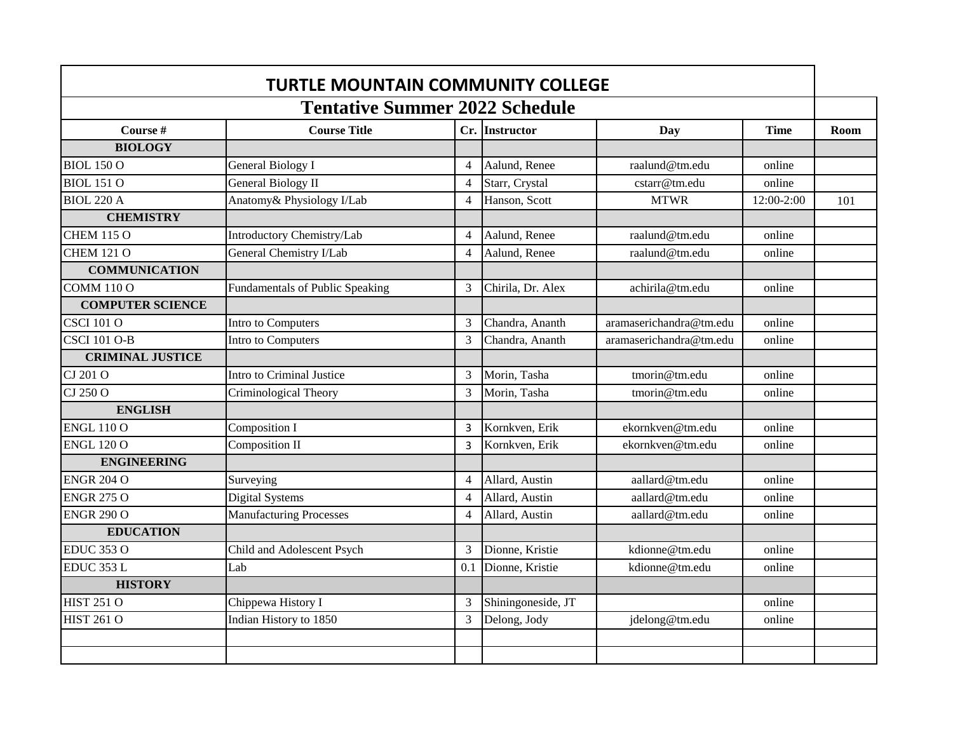| <b>TURTLE MOUNTAIN COMMUNITY COLLEGE</b><br><b>Tentative Summer 2022 Schedule</b> |                                        |                |                    |                         |             |      |
|-----------------------------------------------------------------------------------|----------------------------------------|----------------|--------------------|-------------------------|-------------|------|
|                                                                                   |                                        |                |                    |                         |             |      |
| Course #                                                                          | <b>Course Title</b>                    |                | Cr. Instructor     | Day                     | <b>Time</b> | Room |
| <b>BIOLOGY</b>                                                                    |                                        |                |                    |                         |             |      |
| <b>BIOL 150 O</b>                                                                 | <b>General Biology I</b>               | $\overline{4}$ | Aalund, Renee      | raalund@tm.edu          | online      |      |
| <b>BIOL 151 O</b>                                                                 | <b>General Biology II</b>              | $\overline{4}$ | Starr, Crystal     | cstarr@tm.edu           | online      |      |
| <b>BIOL 220 A</b>                                                                 | Anatomy& Physiology I/Lab              | $\overline{4}$ | Hanson, Scott      | <b>MTWR</b>             | 12:00-2:00  | 101  |
| <b>CHEMISTRY</b>                                                                  |                                        |                |                    |                         |             |      |
| <b>CHEM 115 O</b>                                                                 | Introductory Chemistry/Lab             | $\overline{4}$ | Aalund, Renee      | raalund@tm.edu          | online      |      |
| <b>CHEM 121 O</b>                                                                 | General Chemistry I/Lab                | $\overline{4}$ | Aalund, Renee      | raalund@tm.edu          | online      |      |
| <b>COMMUNICATION</b>                                                              |                                        |                |                    |                         |             |      |
| <b>COMM 110 O</b>                                                                 | <b>Fundamentals of Public Speaking</b> | 3              | Chirila, Dr. Alex  | achirila@tm.edu         | online      |      |
| <b>COMPUTER SCIENCE</b>                                                           |                                        |                |                    |                         |             |      |
| <b>CSCI 101 O</b>                                                                 | Intro to Computers                     | 3              | Chandra, Ananth    | aramaserichandra@tm.edu | online      |      |
| <b>CSCI 101 O-B</b>                                                               | Intro to Computers                     | 3              | Chandra, Ananth    | aramaserichandra@tm.edu | online      |      |
| <b>CRIMINAL JUSTICE</b>                                                           |                                        |                |                    |                         |             |      |
| CJ 201 O                                                                          | Intro to Criminal Justice              | 3              | Morin, Tasha       | tmorin@tm.edu           | online      |      |
| CJ 250 O                                                                          | Criminological Theory                  | 3              | Morin, Tasha       | tmorin@tm.edu           | online      |      |
| <b>ENGLISH</b>                                                                    |                                        |                |                    |                         |             |      |
| <b>ENGL 110 O</b>                                                                 | Composition I                          | 3              | Kornkven, Erik     | ekornkven@tm.edu        | online      |      |
| <b>ENGL 120 O</b>                                                                 | Composition II                         | 3              | Kornkven, Erik     | ekornkven@tm.edu        | online      |      |
| <b>ENGINEERING</b>                                                                |                                        |                |                    |                         |             |      |
| <b>ENGR 204 O</b>                                                                 | Surveying                              | $\overline{4}$ | Allard, Austin     | aallard@tm.edu          | online      |      |
| <b>ENGR 275 O</b>                                                                 | <b>Digital Systems</b>                 | $\overline{4}$ | Allard, Austin     | aallard@tm.edu          | online      |      |
| <b>ENGR 290 O</b>                                                                 | <b>Manufacturing Processes</b>         | 4              | Allard, Austin     | aallard@tm.edu          | online      |      |
| <b>EDUCATION</b>                                                                  |                                        |                |                    |                         |             |      |
| <b>EDUC 353 O</b>                                                                 | Child and Adolescent Psych             | 3              | Dionne, Kristie    | kdionne@tm.edu          | online      |      |
| EDUC 353 L                                                                        | Lab                                    | 0.1            | Dionne, Kristie    | kdionne@tm.edu          | online      |      |
| <b>HISTORY</b>                                                                    |                                        |                |                    |                         |             |      |
| <b>HIST 251 O</b>                                                                 | Chippewa History I                     | 3              | Shiningoneside, JT |                         | online      |      |
| <b>HIST 261 O</b>                                                                 | Indian History to 1850                 | 3              | Delong, Jody       | jdelong@tm.edu          | online      |      |
|                                                                                   |                                        |                |                    |                         |             |      |
|                                                                                   |                                        |                |                    |                         |             |      |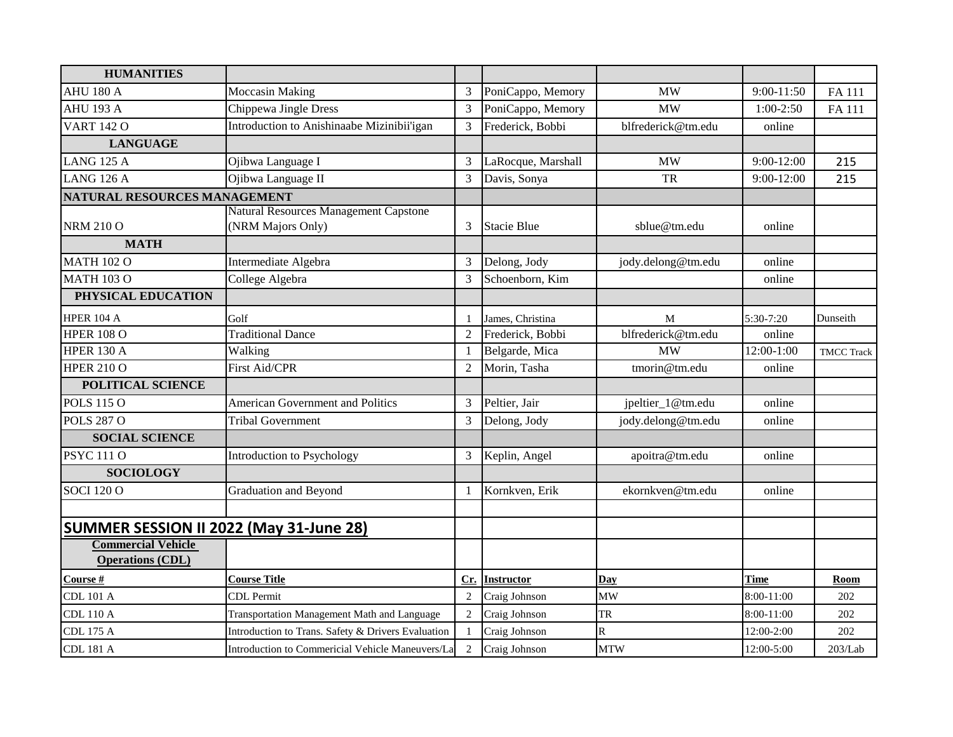| <b>HUMANITIES</b>                       |                                                            |                |                    |                       |                |                   |
|-----------------------------------------|------------------------------------------------------------|----------------|--------------------|-----------------------|----------------|-------------------|
| <b>AHU 180 A</b>                        | <b>Moccasin Making</b>                                     | 3              | PoniCappo, Memory  | <b>MW</b>             | $9:00 - 11:50$ | FA 111            |
| <b>AHU 193 A</b>                        | Chippewa Jingle Dress                                      | 3              | PoniCappo, Memory  | <b>MW</b>             | $1:00-2:50$    | FA 111            |
| <b>VART 142 O</b>                       | Introduction to Anishinaabe Mizinibii'igan                 | 3              | Frederick, Bobbi   | blfrederick@tm.edu    | online         |                   |
| <b>LANGUAGE</b>                         |                                                            |                |                    |                       |                |                   |
| <b>LANG 125 A</b>                       | Ojibwa Language I                                          | 3              | LaRocque, Marshall | <b>MW</b>             | $9:00-12:00$   | 215               |
| <b>LANG 126 A</b>                       | Ojibwa Language II                                         | 3              | Davis, Sonya       | <b>TR</b>             | 9:00-12:00     | 215               |
| NATURAL RESOURCES MANAGEMENT            |                                                            |                |                    |                       |                |                   |
| <b>NRM 210 O</b>                        | Natural Resources Management Capstone<br>(NRM Majors Only) | 3              | <b>Stacie Blue</b> | sblue@tm.edu          | online         |                   |
| <b>MATH</b>                             |                                                            |                |                    |                       |                |                   |
| <b>MATH 102 O</b>                       | Intermediate Algebra                                       | 3              | Delong, Jody       | jody.delong@tm.edu    | online         |                   |
| <b>MATH 103 O</b>                       | College Algebra                                            | 3              | Schoenborn, Kim    |                       | online         |                   |
| PHYSICAL EDUCATION                      |                                                            |                |                    |                       |                |                   |
| <b>HPER 104 A</b>                       | Golf                                                       | 1              | James, Christina   | M                     | 5:30-7:20      | Dunseith          |
| <b>HPER 108 O</b>                       | <b>Traditional Dance</b>                                   | $\overline{2}$ | Frederick, Bobbi   | blfrederick@tm.edu    | online         |                   |
| <b>HPER 130 A</b>                       | Walking                                                    | $\mathbf{1}$   | Belgarde, Mica     | <b>MW</b>             | 12:00-1:00     | <b>TMCC Track</b> |
| <b>HPER 210 O</b>                       | First Aid/CPR                                              | $\overline{2}$ | Morin, Tasha       | tmorin@tm.edu         | online         |                   |
| POLITICAL SCIENCE                       |                                                            |                |                    |                       |                |                   |
| <b>POLS 115 O</b>                       | <b>American Government and Politics</b>                    | 3              | Peltier, Jair      | jpeltier_1@tm.edu     | online         |                   |
| <b>POLS 287 O</b>                       | <b>Tribal Government</b>                                   | 3              | Delong, Jody       | jody.delong@tm.edu    | online         |                   |
| <b>SOCIAL SCIENCE</b>                   |                                                            |                |                    |                       |                |                   |
| <b>PSYC 111 O</b>                       | Introduction to Psychology                                 | 3              | Keplin, Angel      | apoitra@tm.edu        | online         |                   |
| <b>SOCIOLOGY</b>                        |                                                            |                |                    |                       |                |                   |
| <b>SOCI 120 O</b>                       | Graduation and Beyond                                      | 1              | Kornkven, Erik     | ekornkven@tm.edu      | online         |                   |
|                                         |                                                            |                |                    |                       |                |                   |
| SUMMER SESSION II 2022 (May 31-June 28) |                                                            |                |                    |                       |                |                   |
| <b>Commercial Vehicle</b>               |                                                            |                |                    |                       |                |                   |
| <b>Operations (CDL)</b>                 |                                                            |                |                    |                       |                |                   |
| Course #                                | <b>Course Title</b>                                        | Cr.            | <b>Instructor</b>  | Day                   | <b>Time</b>    | <b>Room</b>       |
| <b>CDL 101 A</b>                        | <b>CDL</b> Permit                                          | $\mathfrak{2}$ | Craig Johnson      | MW                    | 8:00-11:00     | 202               |
| <b>CDL 110 A</b>                        | Transportation Management Math and Language                | 2              | Craig Johnson      | ${\rm TR}$            | 8:00-11:00     | 202               |
| <b>CDL 175 A</b>                        | Introduction to Trans. Safety & Drivers Evaluation         | $\mathbf{1}$   | Craig Johnson      | $\overline{\text{R}}$ | 12:00-2:00     | 202               |
| <b>CDL 181 A</b>                        | Introduction to Commericial Vehicle Maneuvers/La           | $\sqrt{2}$     | Craig Johnson      | <b>MTW</b>            | 12:00-5:00     | 203/Lab           |